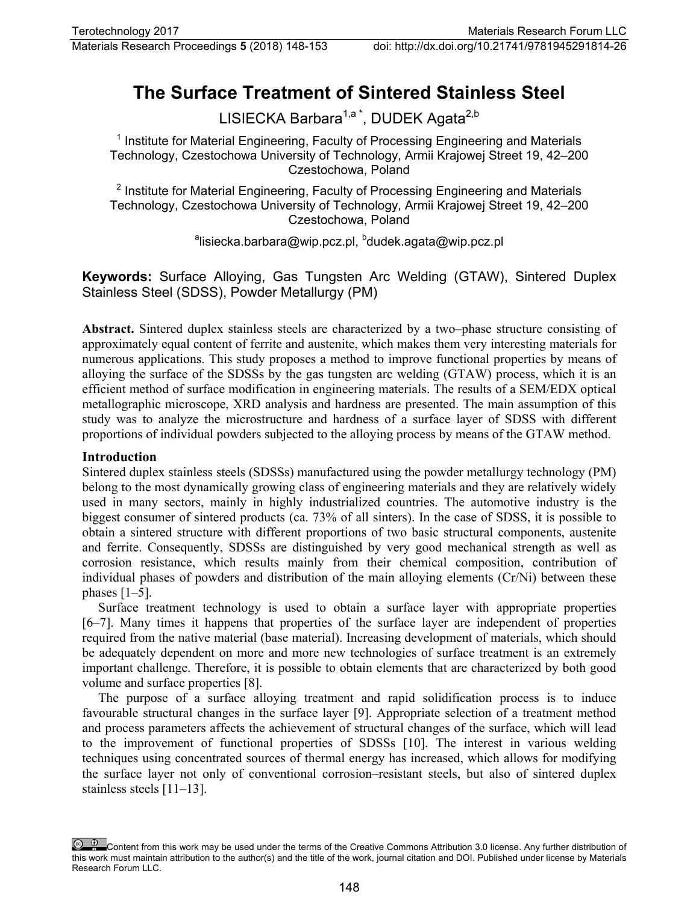# **The Surface Treatment of Sintered Stainless Steel**

LISIECKA Barbara<sup>1,a\*</sup>, DUDEK Agata<sup>2,b</sup>

 $1$  Institute for Material Engineering, Faculty of Processing Engineering and Materials Technology, Czestochowa University of Technology, Armii Krajowej Street 19, 42–200 Czestochowa, Poland

<sup>2</sup> Institute for Material Engineering, Faculty of Processing Engineering and Materials Technology, Czestochowa University of Technology, Armii Krajowej Street 19, 42–200 Czestochowa, Poland

<sup>a</sup>lisiecka.barbara@wip.pcz.pl, <sup>b</sup>dudek.agata@wip.pcz.pl

**Keywords:** Surface Alloying, Gas Tungsten Arc Welding (GTAW), Sintered Duplex Stainless Steel (SDSS), Powder Metallurgy (PM)

**Abstract.** Sintered duplex stainless steels are characterized by a two–phase structure consisting of approximately equal content of ferrite and austenite, which makes them very interesting materials for numerous applications. This study proposes a method to improve functional properties by means of alloying the surface of the SDSSs by the gas tungsten arc welding (GTAW) process, which it is an efficient method of surface modification in engineering materials. The results of a SEM/EDX optical metallographic microscope, XRD analysis and hardness are presented. The main assumption of this study was to analyze the microstructure and hardness of a surface layer of SDSS with different proportions of individual powders subjected to the alloying process by means of the GTAW method.

## **Introduction**

Sintered duplex stainless steels (SDSSs) manufactured using the powder metallurgy technology (PM) belong to the most dynamically growing class of engineering materials and they are relatively widely used in many sectors, mainly in highly industrialized countries. The automotive industry is the biggest consumer of sintered products (ca. 73% of all sinters). In the case of SDSS, it is possible to obtain a sintered structure with different proportions of two basic structural components, austenite and ferrite. Consequently, SDSSs are distinguished by very good mechanical strength as well as corrosion resistance, which results mainly from their chemical composition, contribution of individual phases of powders and distribution of the main alloying elements (Cr/Ni) between these phases  $[1-5]$ .

Surface treatment technology is used to obtain a surface layer with appropriate properties [6–7]. Many times it happens that properties of the surface layer are independent of properties required from the native material (base material). Increasing development of materials, which should be adequately dependent on more and more new technologies of surface treatment is an extremely important challenge. Therefore, it is possible to obtain elements that are characterized by both good volume and surface properties [8].

The purpose of a surface alloying treatment and rapid solidification process is to induce favourable structural changes in the surface layer [9]. Appropriate selection of a treatment method and process parameters affects the achievement of structural changes of the surface, which will lead to the improvement of functional properties of SDSSs [10]. The interest in various welding techniques using concentrated sources of thermal energy has increased, which allows for modifying the surface layer not only of conventional corrosion–resistant steels, but also of sintered duplex stainless steels [11–13].

Content from this work may be used under the terms of the Creative Commons Attribution 3.0 license. Any further distribution of this work must maintain attribution to the author(s) and the title of the work, journal citation and DOI. Published under license by Materials Research Forum LLC.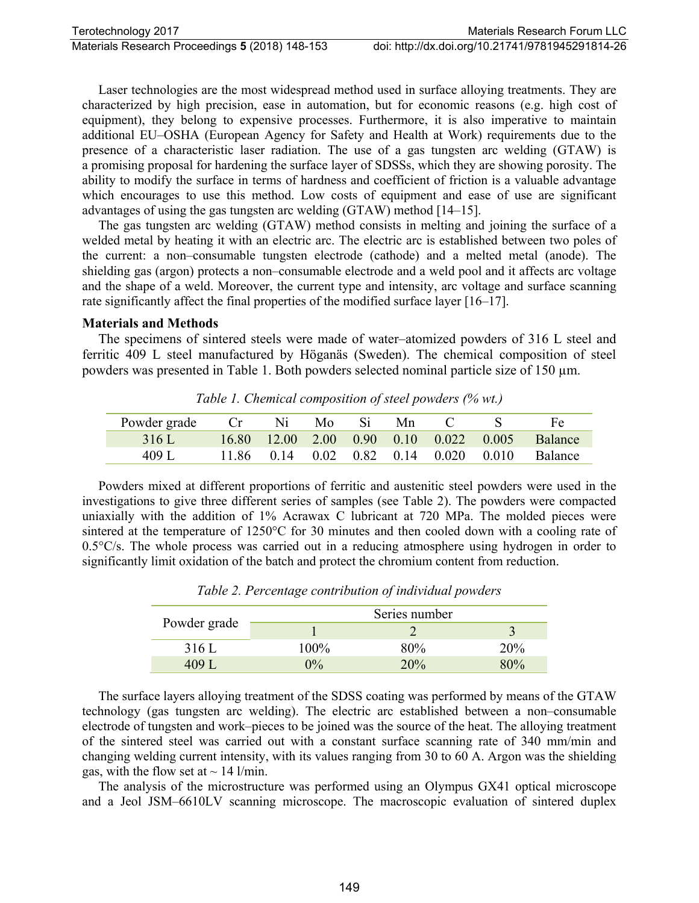Laser technologies are the most widespread method used in surface alloying treatments. They are characterized by high precision, ease in automation, but for economic reasons (e.g. high cost of equipment), they belong to expensive processes. Furthermore, it is also imperative to maintain additional EU–OSHA (European Agency for Safety and Health at Work) requirements due to the presence of a characteristic laser radiation. The use of a gas tungsten arc welding (GTAW) is a promising proposal for hardening the surface layer of SDSSs, which they are showing porosity. The ability to modify the surface in terms of hardness and coefficient of friction is a valuable advantage which encourages to use this method. Low costs of equipment and ease of use are significant advantages of using the gas tungsten arc welding (GTAW) method [14–15].

The gas tungsten arc welding (GTAW) method consists in melting and joining the surface of a welded metal by heating it with an electric arc. The electric arc is established between two poles of the current: a non–consumable tungsten electrode (cathode) and a melted metal (anode). The shielding gas (argon) protects a non–consumable electrode and a weld pool and it affects arc voltage and the shape of a weld. Moreover, the current type and intensity, arc voltage and surface scanning rate significantly affect the final properties of the modified surface layer [16–17].

#### **Materials and Methods**

The specimens of sintered steels were made of water–atomized powders of 316 L steel and ferritic 409 L steel manufactured by Höganäs (Sweden). The chemical composition of steel powders was presented in Table 1. Both powders selected nominal particle size of 150 um.

| Powder grade | Cr    | Ni          | Mo.  | Si. | Mn |                                                      |       |                |
|--------------|-------|-------------|------|-----|----|------------------------------------------------------|-------|----------------|
| 316 L        |       | 16.80 12.00 |      |     |    | $2.00 \quad 0.90 \quad 0.10 \quad 0.022 \quad 0.005$ |       | <b>Balance</b> |
| 409 I        | 11.86 | $(1)$ 14    | 0.02 |     |    | $0.82$ 0.14 0.020                                    | 0.010 | <b>Balance</b> |

*Table 1. Chemical composition of steel powders (% wt.)*

Powders mixed at different proportions of ferritic and austenitic steel powders were used in the investigations to give three different series of samples (see Table 2). The powders were compacted uniaxially with the addition of 1% Acrawax C lubricant at 720 MPa. The molded pieces were sintered at the temperature of 1250°C for 30 minutes and then cooled down with a cooling rate of  $0.5^{\circ}$ C/s. The whole process was carried out in a reducing atmosphere using hydrogen in order to significantly limit oxidation of the batch and protect the chromium content from reduction.

| Powder grade | Series number |     |     |  |  |
|--------------|---------------|-----|-----|--|--|
|              |               |     |     |  |  |
| 316 L        | 100%          | 80% | 20% |  |  |
| 409.         | 0/2           | 20% | 80% |  |  |

*Table 2. Percentage contribution of individual powders*

The surface layers alloying treatment of the SDSS coating was performed by means of the GTAW technology (gas tungsten arc welding). The electric arc established between a non–consumable electrode of tungsten and work–pieces to be joined was the source of the heat. The alloying treatment of the sintered steel was carried out with a constant surface scanning rate of 340 mm/min and changing welding current intensity, with its values ranging from 30 to 60 A. Argon was the shielding gas, with the flow set at  $\sim$  14 l/min.

The analysis of the microstructure was performed using an Olympus GX41 optical microscope and a Jeol JSM–6610LV scanning microscope. The macroscopic evaluation of sintered duplex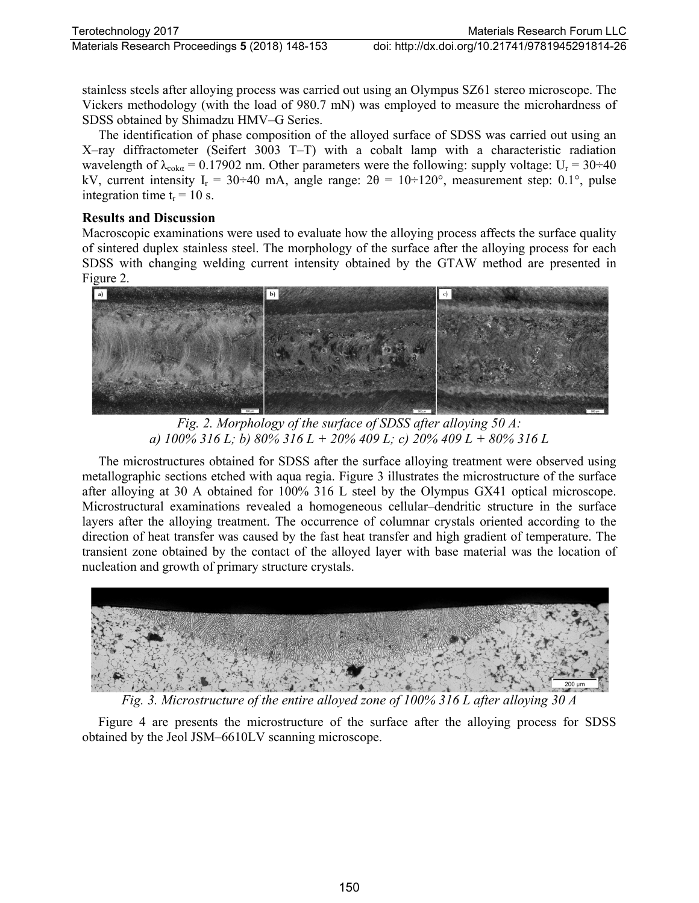stainless steels after alloying process was carried out using an Olympus SZ61 stereo microscope. The Vickers methodology (with the load of 980.7 mN) was employed to measure the microhardness of SDSS obtained by Shimadzu HMV–G Series.

The identification of phase composition of the alloyed surface of SDSS was carried out using an X–ray diffractometer (Seifert 3003 T–T) with a cobalt lamp with a characteristic radiation wavelength of  $\lambda_{coka} = 0.17902$  nm. Other parameters were the following: supply voltage:  $U_r = 30 \div 40$ kV, current intensity I<sub>r</sub> = 30÷40 mA, angle range:  $2\theta = 10\div 120^{\circ}$ , measurement step: 0.1°, pulse integration time  $t_r = 10$  s.

### **Results and Discussion**

Macroscopic examinations were used to evaluate how the alloying process affects the surface quality of sintered duplex stainless steel. The morphology of the surface after the alloying process for each SDSS with changing welding current intensity obtained by the GTAW method are presented in Figure 2.



*Fig. 2. Morphology of the surface of SDSS after alloying 50 A: a) 100% 316 L; b) 80% 316 L + 20% 409 L; c) 20% 409 L + 80% 316 L*

The microstructures obtained for SDSS after the surface alloying treatment were observed using metallographic sections etched with aqua regia. Figure 3 illustrates the microstructure of the surface after alloying at 30 A obtained for 100% 316 L steel by the Olympus GX41 optical microscope. Microstructural examinations revealed a homogeneous cellular–dendritic structure in the surface layers after the alloying treatment. The occurrence of columnar crystals oriented according to the direction of heat transfer was caused by the fast heat transfer and high gradient of temperature. The transient zone obtained by the contact of the alloyed layer with base material was the location of nucleation and growth of primary structure crystals.



*Fig. 3. Microstructure of the entire alloyed zone of 100% 316 L after alloying 30 A*

Figure 4 are presents the microstructure of the surface after the alloying process for SDSS obtained by the Jeol JSM–6610LV scanning microscope.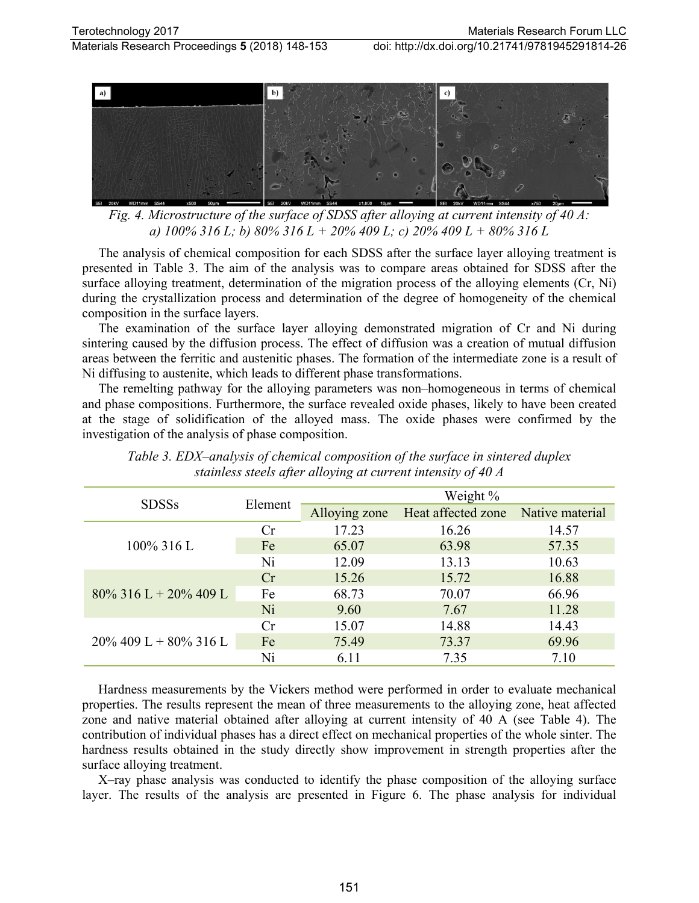



*Fig. 4. Microstructure of the surface of SDSS after alloying at current intensity of 40 A: a) 100% 316 L; b) 80% 316 L + 20% 409 L; c) 20% 409 L + 80% 316 L*

The analysis of chemical composition for each SDSS after the surface layer alloying treatment is presented in Table 3. The aim of the analysis was to compare areas obtained for SDSS after the surface alloying treatment, determination of the migration process of the alloying elements (Cr, Ni) during the crystallization process and determination of the degree of homogeneity of the chemical composition in the surface layers.

The examination of the surface layer alloying demonstrated migration of Cr and Ni during sintering caused by the diffusion process. The effect of diffusion was a creation of mutual diffusion areas between the ferritic and austenitic phases. The formation of the intermediate zone is a result of Ni diffusing to austenite, which leads to different phase transformations.

The remelting pathway for the alloying parameters was non–homogeneous in terms of chemical and phase compositions. Furthermore, the surface revealed oxide phases, likely to have been created at the stage of solidification of the alloyed mass. The oxide phases were confirmed by the investigation of the analysis of phase composition.

| <b>SDSSs</b>             | Element | Weight %      |                    |                 |  |
|--------------------------|---------|---------------|--------------------|-----------------|--|
|                          |         | Alloying zone | Heat affected zone | Native material |  |
| $100\%$ 316 L            | Cr      | 17.23         | 16.26              | 14.57           |  |
|                          | Fe      | 65.07         | 63.98              | 57.35           |  |
|                          | Ni      | 12.09         | 13.13              | 10.63           |  |
|                          | Cr      | 15.26         | 15.72              | 16.88           |  |
| $80\%$ 316 L + 20% 409 L | Fe      | 68.73         | 70.07              | 66.96           |  |
|                          | Ni      | 9.60          | 7.67               | 11.28           |  |
|                          | Cr      | 15.07         | 14.88              | 14.43           |  |
| $20\%$ 409 L + 80% 316 L | Fe      | 75.49         | 73.37              | 69.96           |  |
|                          | Ni      | 6.11          | 7.35               | 7.10            |  |

*Table 3. EDX–analysis of chemical composition of the surface in sintered duplex stainless steels after alloying at current intensity of 40 A*

Hardness measurements by the Vickers method were performed in order to evaluate mechanical properties. The results represent the mean of three measurements to the alloying zone, heat affected zone and native material obtained after alloying at current intensity of 40 A (see Table 4). The contribution of individual phases has a direct effect on mechanical properties of the whole sinter. The hardness results obtained in the study directly show improvement in strength properties after the surface alloying treatment.

X–ray phase analysis was conducted to identify the phase composition of the alloying surface layer. The results of the analysis are presented in Figure 6. The phase analysis for individual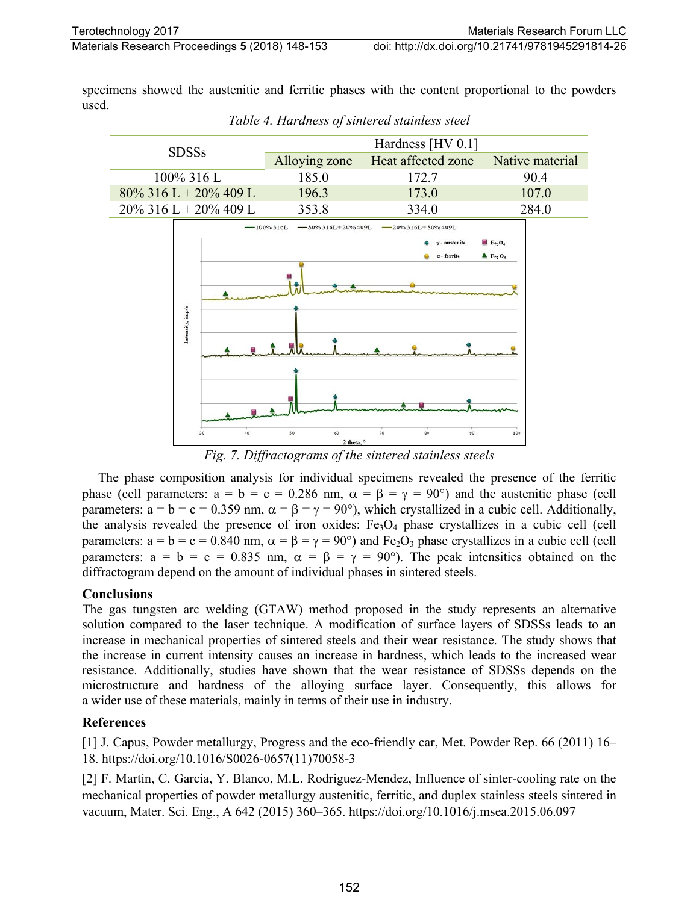specimens showed the austenitic and ferritic phases with the content proportional to the powders used.



*Table 4. Hardness of sintered stainless steel*

*Fig. 7. Diffractograms of the sintered stainless steels*

The phase composition analysis for individual specimens revealed the presence of the ferritic phase (cell parameters:  $a = b = c = 0.286$  nm,  $\alpha = \beta = \gamma = 90^{\circ}$ ) and the austenitic phase (cell parameters:  $a = b = c = 0.359$  nm,  $\alpha = \beta = \gamma = 90^{\circ}$ ), which crystallized in a cubic cell. Additionally, the analysis revealed the presence of iron oxides:  $Fe<sub>3</sub>O<sub>4</sub>$  phase crystallizes in a cubic cell (cell parameters:  $a = b = c = 0.840$  nm,  $\alpha = \beta = \gamma = 90^{\circ}$ ) and Fe<sub>2</sub>O<sub>3</sub> phase crystallizes in a cubic cell (cell parameters:  $a = b = c = 0.835$  nm,  $\alpha = \beta = \gamma = 90^{\circ}$ . The peak intensities obtained on the diffractogram depend on the amount of individual phases in sintered steels.

## **Conclusions**

The gas tungsten arc welding (GTAW) method proposed in the study represents an alternative solution compared to the laser technique. A modification of surface layers of SDSSs leads to an increase in mechanical properties of sintered steels and their wear resistance. The study shows that the increase in current intensity causes an increase in hardness, which leads to the increased wear resistance. Additionally, studies have shown that the wear resistance of SDSSs depends on the microstructure and hardness of the alloying surface layer. Consequently, this allows for a wider use of these materials, mainly in terms of their use in industry.

## **References**

[1] J. Capus, Powder metallurgy, Progress and the eco-friendly car, Met. Powder Rep. 66 (2011) 16– 18. https://doi.org/10.1016/S0026-0657(11)70058-3

[2] F. Martin, C. Garcia, Y. Blanco, M.L. Rodriguez-Mendez, Influence of sinter-cooling rate on the mechanical properties of powder metallurgy austenitic, ferritic, and duplex stainless steels sintered in vacuum, Mater. Sci. Eng., A 642 (2015) 360–365. https://doi.org/10.1016/j.msea.2015.06.097